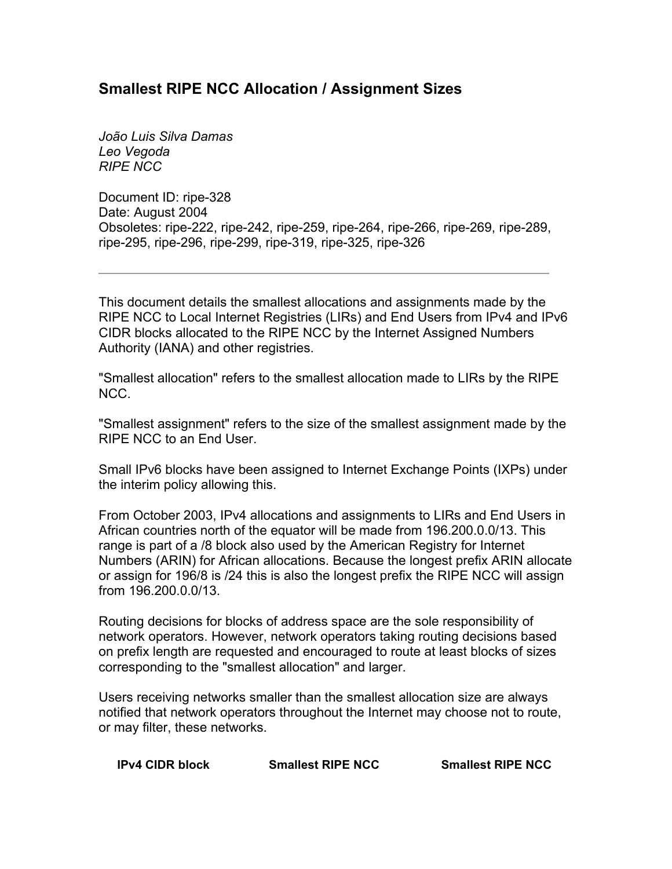## **Smallest RIPE NCC Allocation / Assignment Sizes**

*João Luis Silva Damas Leo Vegoda RIPE NCC* 

Document ID: ripe-328 Date: August 2004 Obsoletes: ripe-222, ripe-242, ripe-259, ripe-264, ripe-266, ripe-269, ripe-289, ripe-295, ripe-296, ripe-299, ripe-319, ripe-325, ripe-326

This document details the smallest allocations and assignments made by the RIPE NCC to Local Internet Registries (LIRs) and End Users from IPv4 and IPv6 CIDR blocks allocated to the RIPE NCC by the Internet Assigned Numbers Authority (IANA) and other registries.

"Smallest allocation" refers to the smallest allocation made to LIRs by the RIPE NCC.

"Smallest assignment" refers to the size of the smallest assignment made by the RIPE NCC to an End User.

Small IPv6 blocks have been assigned to Internet Exchange Points (IXPs) under the interim policy allowing this.

From October 2003, IPv4 allocations and assignments to LIRs and End Users in African countries north of the equator will be made from 196.200.0.0/13. This range is part of a /8 block also used by the American Registry for Internet Numbers (ARIN) for African allocations. Because the longest prefix ARIN allocate or assign for 196/8 is /24 this is also the longest prefix the RIPE NCC will assign from 196.200.0.0/13.

Routing decisions for blocks of address space are the sole responsibility of network operators. However, network operators taking routing decisions based on prefix length are requested and encouraged to route at least blocks of sizes corresponding to the "smallest allocation" and larger.

Users receiving networks smaller than the smallest allocation size are always notified that network operators throughout the Internet may choose not to route, or may filter, these networks.

| <b>IPv4 CIDR block</b> | <b>Smallest RIPE NCC</b> | <b>Smallest RIPE NCC</b> |
|------------------------|--------------------------|--------------------------|
|------------------------|--------------------------|--------------------------|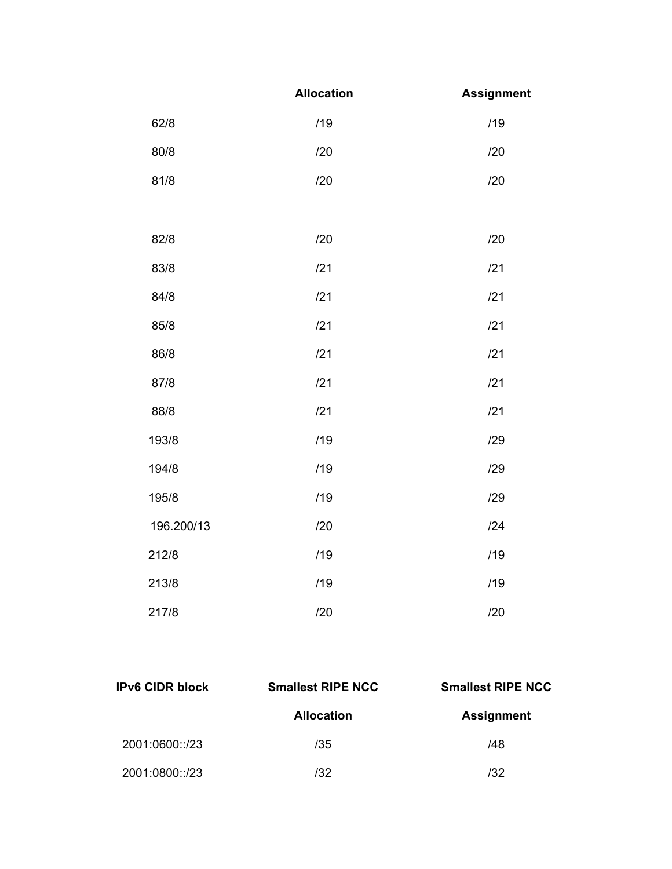|            | <b>Allocation</b> | <b>Assignment</b> |
|------------|-------------------|-------------------|
| 62/8       | /19               | /19               |
| 80/8       | /20               | /20               |
| 81/8       | /20               | /20               |
|            |                   |                   |
| 82/8       | /20               | /20               |
| 83/8       | /21               | /21               |
| 84/8       | /21               | /21               |
| 85/8       | /21               | /21               |
| 86/8       | /21               | /21               |
| 87/8       | /21               | /21               |
| 88/8       | /21               | /21               |
| 193/8      | /19               | /29               |
| 194/8      | /19               | /29               |
| 195/8      | /19               | /29               |
| 196.200/13 | /20               | 124               |
| 212/8      | /19               | /19               |
| 213/8      | /19               | /19               |
| 217/8      | /20               | /20               |

| <b>IPv6 CIDR block</b> | <b>Smallest RIPE NCC</b> | <b>Smallest RIPE NCC</b> |  |
|------------------------|--------------------------|--------------------------|--|
|                        | <b>Allocation</b>        | <b>Assignment</b>        |  |
| 2001:0600::/23         | /35                      | /48                      |  |
| 2001:0800::/23         | /32                      | 132                      |  |